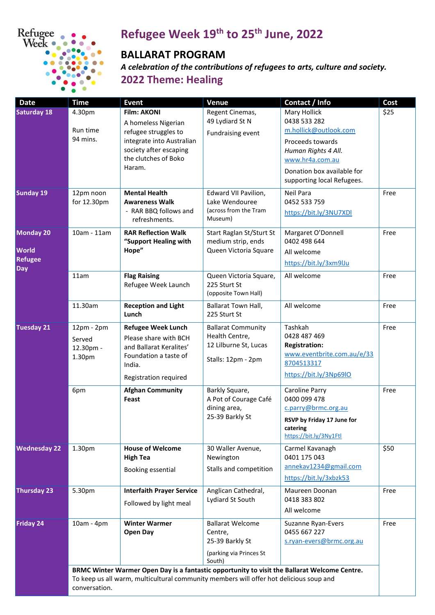

## **Refugee Week 19th to 25th June, 2022**

## **BALLARAT PROGRAM**

 *A celebration of the contributions of refugees to arts, culture and society.*  **2022 Theme: Healing** 

| <b>Date</b>                                                      | <b>Time</b>                                                                                                                                                                                             | <b>Event</b>                                                                                                                                               | Venue                                                                                      | Contact / Info                                                                                                                                                                  | <b>Cost</b> |  |
|------------------------------------------------------------------|---------------------------------------------------------------------------------------------------------------------------------------------------------------------------------------------------------|------------------------------------------------------------------------------------------------------------------------------------------------------------|--------------------------------------------------------------------------------------------|---------------------------------------------------------------------------------------------------------------------------------------------------------------------------------|-------------|--|
| <b>Saturday 18</b>                                               | 4.30pm<br>Run time<br>94 mins.                                                                                                                                                                          | <b>Film: AKONI</b><br>A homeless Nigerian<br>refugee struggles to<br>integrate into Australian<br>society after escaping<br>the clutches of Boko<br>Haram. | Regent Cinemas,<br>49 Lydiard St N<br>Fundraising event                                    | Mary Hollick<br>0438 533 282<br>m.hollick@outlook.com<br>Proceeds towards<br>Human Rights 4 All.<br>www.hr4a.com.au<br>Donation box available for<br>supporting local Refugees. | \$25        |  |
| <b>Sunday 19</b>                                                 | 12pm noon<br>for 12.30pm                                                                                                                                                                                | <b>Mental Health</b><br><b>Awareness Walk</b><br>- RAR BBQ follows and<br>refreshments.                                                                    | Edward VII Pavilion,<br>Lake Wendouree<br>(across from the Tram<br>Museum)                 | Neil Para<br>0452 533 759<br>https://bit.ly/3NU7XDl                                                                                                                             | Free        |  |
| <b>Monday 20</b><br><b>World</b><br><b>Refugee</b><br><b>Day</b> | 10am - 11am                                                                                                                                                                                             | <b>RAR Reflection Walk</b><br>"Support Healing with<br>Hope"                                                                                               | Start Raglan St/Sturt St<br>medium strip, ends<br>Queen Victoria Square                    | Margaret O'Donnell<br>0402 498 644<br>All welcome<br>https://bit.ly/3xm9lJu                                                                                                     | Free        |  |
|                                                                  | 11am                                                                                                                                                                                                    | <b>Flag Raising</b><br>Refugee Week Launch                                                                                                                 | Queen Victoria Square,<br>225 Sturt St<br>(opposite Town Hall)                             | All welcome                                                                                                                                                                     | Free        |  |
|                                                                  | 11.30am                                                                                                                                                                                                 | <b>Reception and Light</b><br>Lunch                                                                                                                        | Ballarat Town Hall,<br>225 Sturt St                                                        | All welcome                                                                                                                                                                     | Free        |  |
| <b>Tuesday 21</b>                                                | 12pm - 2pm<br>Served<br>12.30pm -<br>1.30pm                                                                                                                                                             | <b>Refugee Week Lunch</b><br>Please share with BCH<br>and Ballarat Keralites'<br>Foundation a taste of<br>India.<br>Registration required                  | <b>Ballarat Community</b><br>Health Centre,<br>12 Lilburne St, Lucas<br>Stalls: 12pm - 2pm | Tashkah<br>0428 487 469<br><b>Registration:</b><br>www.eventbrite.com.au/e/33<br>8704513317<br>https://bit.ly/3Np69lO                                                           | Free        |  |
|                                                                  | 6pm                                                                                                                                                                                                     | <b>Afghan Community</b><br>Feast                                                                                                                           | Barkly Square,<br>A Pot of Courage Café<br>dining area,<br>25-39 Barkly St                 | <b>Caroline Parry</b><br>0400 099 478<br>c.parry@brmc.org.au<br>RSVP by Friday 17 June for<br>catering<br>https://bit.ly/3Ny1Ftl                                                | Free        |  |
| <b>Wednesday 22</b>                                              | 1.30pm                                                                                                                                                                                                  | <b>House of Welcome</b><br><b>High Tea</b><br>Booking essential                                                                                            | 30 Waller Avenue,<br>Newington<br>Stalls and competition                                   | Carmel Kavanagh<br>0401 175 043<br>annekav1234@gmail.com<br>https://bit.ly/3xbzk53                                                                                              | \$50        |  |
| <b>Thursday 23</b>                                               | 5.30pm                                                                                                                                                                                                  | <b>Interfaith Prayer Service</b><br>Followed by light meal                                                                                                 | Anglican Cathedral,<br>Lydiard St South                                                    | Maureen Doonan<br>0418 383 802<br>All welcome                                                                                                                                   | Free        |  |
| <b>Friday 24</b>                                                 | 10am - 4pm                                                                                                                                                                                              | <b>Winter Warmer</b><br><b>Open Day</b>                                                                                                                    | <b>Ballarat Welcome</b><br>Centre,<br>25-39 Barkly St<br>(parking via Princes St<br>South) | Suzanne Ryan-Evers<br>0455 667 227<br>s.ryan-evers@brmc.org.au                                                                                                                  | Free        |  |
|                                                                  | BRMC Winter Warmer Open Day is a fantastic opportunity to visit the Ballarat Welcome Centre.<br>To keep us all warm, multicultural community members will offer hot delicious soup and<br>conversation. |                                                                                                                                                            |                                                                                            |                                                                                                                                                                                 |             |  |